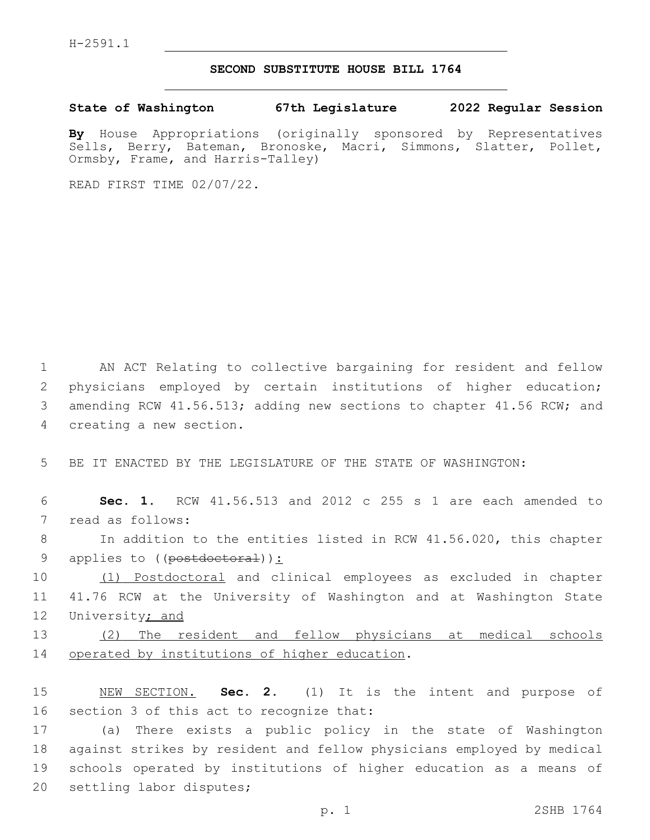## **SECOND SUBSTITUTE HOUSE BILL 1764**

**State of Washington 67th Legislature 2022 Regular Session**

**By** House Appropriations (originally sponsored by Representatives Sells, Berry, Bateman, Bronoske, Macri, Simmons, Slatter, Pollet, Ormsby, Frame, and Harris-Talley)

READ FIRST TIME 02/07/22.

1 AN ACT Relating to collective bargaining for resident and fellow 2 physicians employed by certain institutions of higher education; 3 amending RCW 41.56.513; adding new sections to chapter 41.56 RCW; and 4 creating a new section.

5 BE IT ENACTED BY THE LEGISLATURE OF THE STATE OF WASHINGTON:

6 **Sec. 1.** RCW 41.56.513 and 2012 c 255 s 1 are each amended to 7 read as follows:

8 In addition to the entities listed in RCW 41.56.020, this chapter 9 applies to ((postdoctoral)):

10 (1) Postdoctoral and clinical employees as excluded in chapter 11 41.76 RCW at the University of Washington and at Washington State 12 University; and

13 (2) The resident and fellow physicians at medical schools 14 operated by institutions of higher education.

15 NEW SECTION. **Sec. 2.** (1) It is the intent and purpose of 16 section 3 of this act to recognize that:

 (a) There exists a public policy in the state of Washington against strikes by resident and fellow physicians employed by medical schools operated by institutions of higher education as a means of 20 settling labor disputes;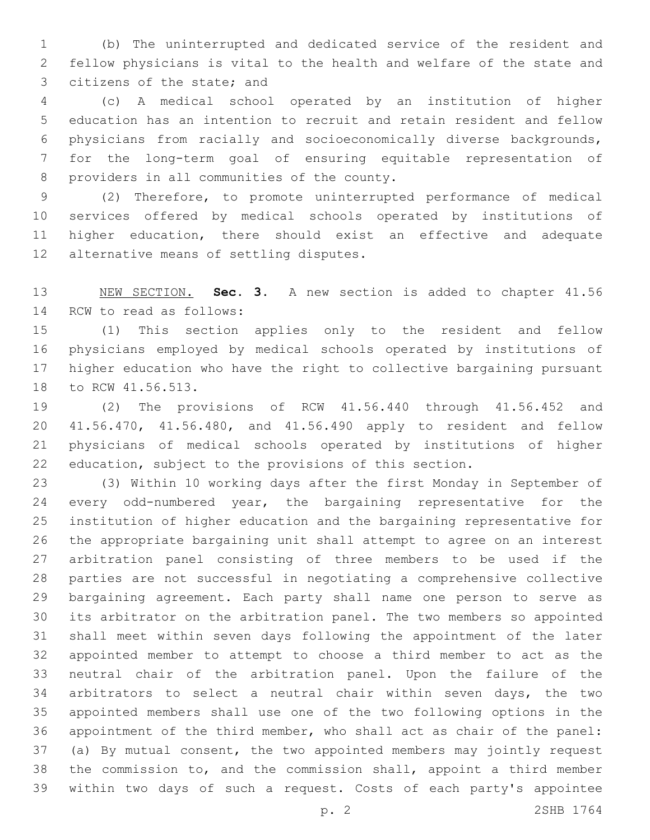(b) The uninterrupted and dedicated service of the resident and fellow physicians is vital to the health and welfare of the state and 3 citizens of the state; and

 (c) A medical school operated by an institution of higher education has an intention to recruit and retain resident and fellow physicians from racially and socioeconomically diverse backgrounds, for the long-term goal of ensuring equitable representation of 8 providers in all communities of the county.

 (2) Therefore, to promote uninterrupted performance of medical services offered by medical schools operated by institutions of higher education, there should exist an effective and adequate 12 alternative means of settling disputes.

 NEW SECTION. **Sec. 3.** A new section is added to chapter 41.56 14 RCW to read as follows:

 (1) This section applies only to the resident and fellow physicians employed by medical schools operated by institutions of higher education who have the right to collective bargaining pursuant 18 to RCW 41.56.513.

 (2) The provisions of RCW 41.56.440 through 41.56.452 and 41.56.470, 41.56.480, and 41.56.490 apply to resident and fellow physicians of medical schools operated by institutions of higher education, subject to the provisions of this section.

 (3) Within 10 working days after the first Monday in September of every odd-numbered year, the bargaining representative for the institution of higher education and the bargaining representative for the appropriate bargaining unit shall attempt to agree on an interest arbitration panel consisting of three members to be used if the parties are not successful in negotiating a comprehensive collective bargaining agreement. Each party shall name one person to serve as its arbitrator on the arbitration panel. The two members so appointed shall meet within seven days following the appointment of the later appointed member to attempt to choose a third member to act as the neutral chair of the arbitration panel. Upon the failure of the arbitrators to select a neutral chair within seven days, the two appointed members shall use one of the two following options in the appointment of the third member, who shall act as chair of the panel: (a) By mutual consent, the two appointed members may jointly request the commission to, and the commission shall, appoint a third member within two days of such a request. Costs of each party's appointee

p. 2 2SHB 1764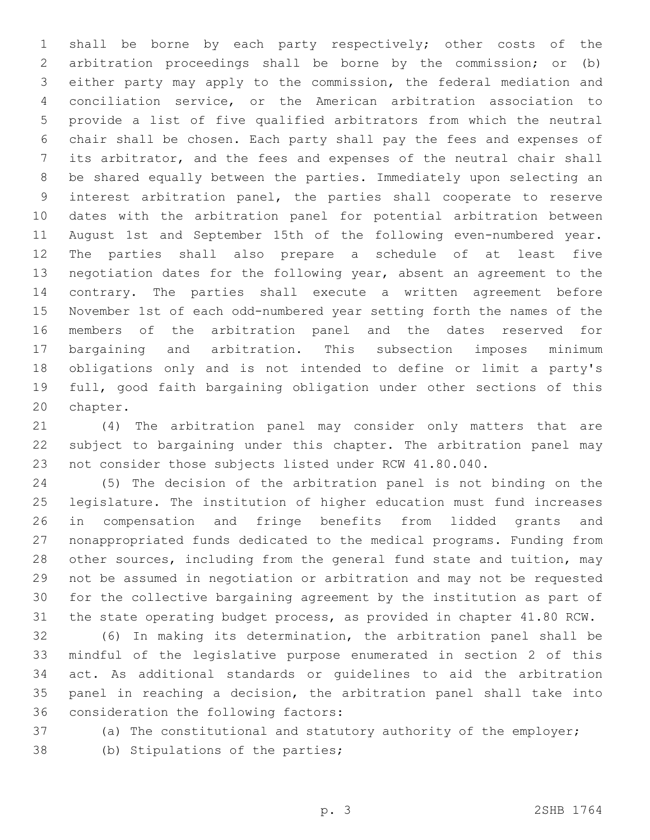shall be borne by each party respectively; other costs of the arbitration proceedings shall be borne by the commission; or (b) either party may apply to the commission, the federal mediation and conciliation service, or the American arbitration association to provide a list of five qualified arbitrators from which the neutral chair shall be chosen. Each party shall pay the fees and expenses of its arbitrator, and the fees and expenses of the neutral chair shall be shared equally between the parties. Immediately upon selecting an interest arbitration panel, the parties shall cooperate to reserve dates with the arbitration panel for potential arbitration between August 1st and September 15th of the following even-numbered year. The parties shall also prepare a schedule of at least five negotiation dates for the following year, absent an agreement to the contrary. The parties shall execute a written agreement before November 1st of each odd-numbered year setting forth the names of the members of the arbitration panel and the dates reserved for bargaining and arbitration. This subsection imposes minimum obligations only and is not intended to define or limit a party's full, good faith bargaining obligation under other sections of this 20 chapter.

 (4) The arbitration panel may consider only matters that are subject to bargaining under this chapter. The arbitration panel may not consider those subjects listed under RCW 41.80.040.

 (5) The decision of the arbitration panel is not binding on the legislature. The institution of higher education must fund increases in compensation and fringe benefits from lidded grants and nonappropriated funds dedicated to the medical programs. Funding from other sources, including from the general fund state and tuition, may not be assumed in negotiation or arbitration and may not be requested for the collective bargaining agreement by the institution as part of the state operating budget process, as provided in chapter 41.80 RCW.

 (6) In making its determination, the arbitration panel shall be mindful of the legislative purpose enumerated in section 2 of this act. As additional standards or guidelines to aid the arbitration panel in reaching a decision, the arbitration panel shall take into 36 consideration the following factors:

(a) The constitutional and statutory authority of the employer;

38 (b) Stipulations of the parties;